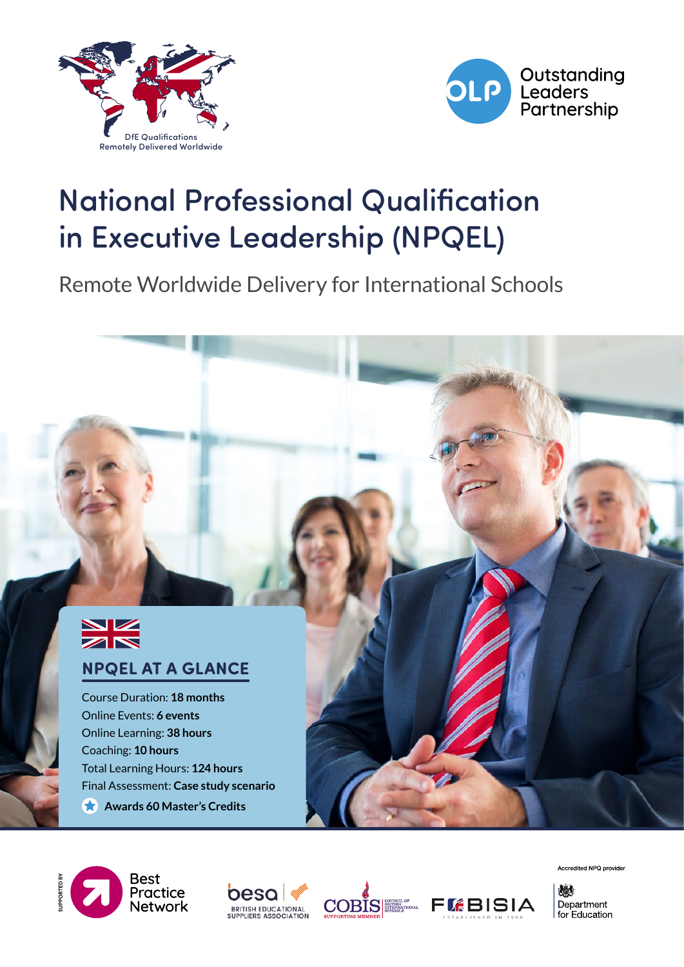



# National Professional Qualification in Executive Leadership (NPQEL)

Remote Worldwide Delivery for International Schools



### **NPQEL AT A GLANCE**

Course Duration: **18 months** Online Events: **6 events** Online Learning: **38 hours** Coaching: **10 hours** Total Learning Hours: **124 hours** Final Assessment: **Case study scenario**

**Awards 60 Master's Credits** 









Accredited NPQ provider

燃 Department for Education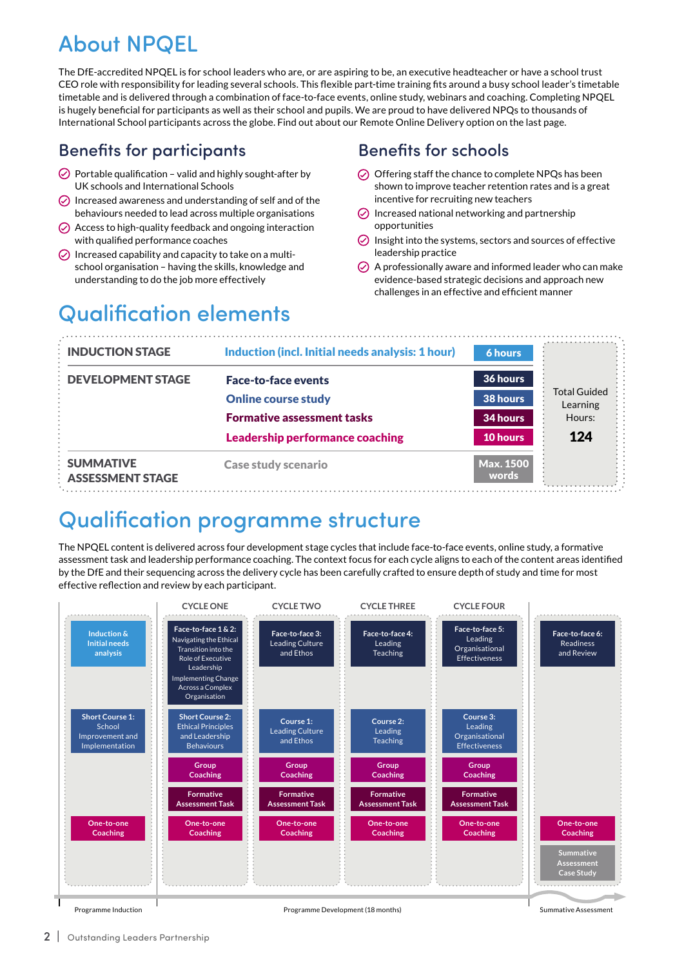## About NPQEL

The DfE-accredited NPQEL is for school leaders who are, or are aspiring to be, an executive headteacher or have a school trust CEO role with responsibility for leading several schools. This flexible part-time training fits around a busy school leader's timetable timetable and is delivered through a combination of face-to-face events, online study, webinars and coaching. Completing NPQEL is hugely beneficial for participants as well as their school and pupils. We are proud to have delivered NPQs to thousands of International School participants across the globe. Find out about our Remote Online Delivery option on the last page.

### Benefits for participants

- $\odot$  Portable qualification valid and highly sought-after by UK schools and International Schools
- $\odot$  Increased awareness and understanding of self and of the behaviours needed to lead across multiple organisations
- $\oslash$  Access to high-quality feedback and ongoing interaction with qualified performance coaches
- $\circledcirc$  Increased capability and capacity to take on a multischool organisation – having the skills, knowledge and understanding to do the job more effectively

### Benefits for schools

- $\odot$  Offering staff the chance to complete NPQs has been shown to improve teacher retention rates and is a great incentive for recruiting new teachers
- $\odot$  Increased national networking and partnership opportunities
- $\odot$  Insight into the systems, sectors and sources of effective leadership practice
- $\oslash$  A professionally aware and informed leader who can make evidence-based strategic decisions and approach new challenges in an effective and efficient manner

## Qualification elements

| <b>INDUCTION STAGE</b>                      | Induction (incl. Initial needs analysis: 1 hour) | 6 hours                   |                                 |
|---------------------------------------------|--------------------------------------------------|---------------------------|---------------------------------|
| <b>DEVELOPMENT STAGE</b>                    | <b>Face-to-face events</b>                       | 36 hours                  |                                 |
|                                             | <b>Online course study</b>                       | 38 hours                  | <b>Total Guided</b><br>Learning |
|                                             | <b>Formative assessment tasks</b>                | 34 hours                  | Hours:                          |
|                                             | <b>Leadership performance coaching</b>           | 10 hours                  | 124                             |
| <b>SUMMATIVE</b><br><b>ASSESSMENT STAGE</b> | <b>Case study scenario</b>                       | <b>Max. 1500</b><br>words |                                 |

## Qualification programme structure

The NPQEL content is delivered across four development stage cycles that include face-to-face events, online study, a formative assessment task and leadership performance coaching. The context focus for each cycle aligns to each of the content areas identified by the DfE and their sequencing across the delivery cycle has been carefully crafted to ensure depth of study and time for most effective reflection and review by each participant.

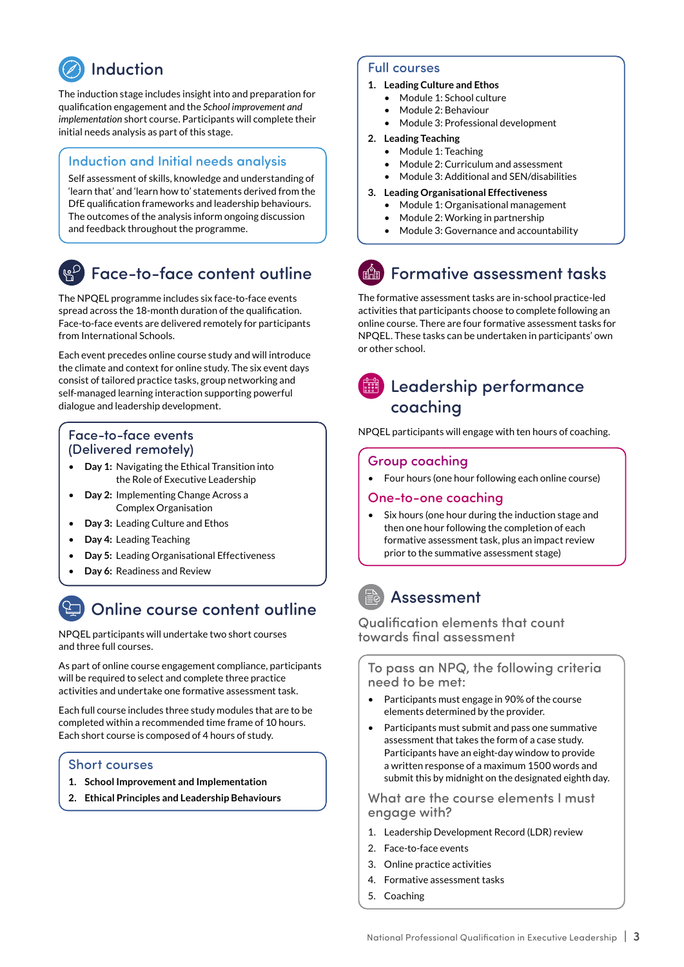## Induction

The induction stage includes insight into and preparation for qualification engagement and the *School improvement and implementation* short course. Participants will complete their initial needs analysis as part of this stage.

#### Induction and Initial needs analysis

Self assessment of skills, knowledge and understanding of 'learn that' and 'learn how to' statements derived from the DfE qualification frameworks and leadership behaviours. The outcomes of the analysis inform ongoing discussion and feedback throughout the programme.

### Face-to-face content outline

The NPQEL programme includes six face-to-face events spread across the 18-month duration of the qualification. Face-to-face events are delivered remotely for participants from International Schools.

Each event precedes online course study and will introduce the climate and context for online study. The six event days consist of tailored practice tasks, group networking and self-managed learning interaction supporting powerful dialogue and leadership development.

#### Face-to-face events (Delivered remotely)

- **Day 1:** Navigating the Ethical Transition into the Role of Executive Leadership
- **Day 2:** Implementing Change Across a Complex Organisation
- **Day 3:** Leading Culture and Ethos
- **Day 4:** Leading Teaching
- **Day 5:** Leading Organisational Effectiveness
- **Day 6:** Readiness and Review

### Online course content outline

NPQEL participants will undertake two short courses and three full courses.

As part of online course engagement compliance, participants will be required to select and complete three practice activities and undertake one formative assessment task.

Each full course includes three study modules that are to be completed within a recommended time frame of 10 hours. Each short course is composed of 4 hours of study.

#### Short courses

- **1. School Improvement and Implementation**
- **2. Ethical Principles and Leadership Behaviours**

#### Full courses

- **1. Leading Culture and Ethos**
	- Module 1: School culture
	- Module 2: Behaviour
	- Module 3: Professional development

#### **2. Leading Teaching**

- Module 1: Teaching
- Module 2: Curriculum and assessment
- Module 3: Additional and SEN/disabilities

#### **3. Leading Organisational Effectiveness**

- Module 1: Organisational management
- Module 2: Working in partnership
- Module 3: Governance and accountability

## Formative assessment tasks

The formative assessment tasks are in-school practice-led activities that participants choose to complete following an online course. There are four formative assessment tasks for NPQEL. These tasks can be undertaken in participants' own or other school.

### **■ Leadership performance** coaching

NPQEL participants will engage with ten hours of coaching.

#### Group coaching

• Four hours (one hour following each online course)

#### One-to-one coaching

Six hours (one hour during the induction stage and then one hour following the completion of each formative assessment task, plus an impact review prior to the summative assessment stage)

### Assessment

Qualification elements that count towards final assessment

To pass an NPQ, the following criteria need to be met:

- Participants must engage in 90% of the course elements determined by the provider.
- Participants must submit and pass one summative assessment that takes the form of a case study. Participants have an eight-day window to provide a written response of a maximum 1500 words and submit this by midnight on the designated eighth day.

What are the course elements I must engage with?

- 1. Leadership Development Record (LDR) review
- 2. Face-to-face events
- 3. Online practice activities
- 4. Formative assessment tasks
- 5. Coaching